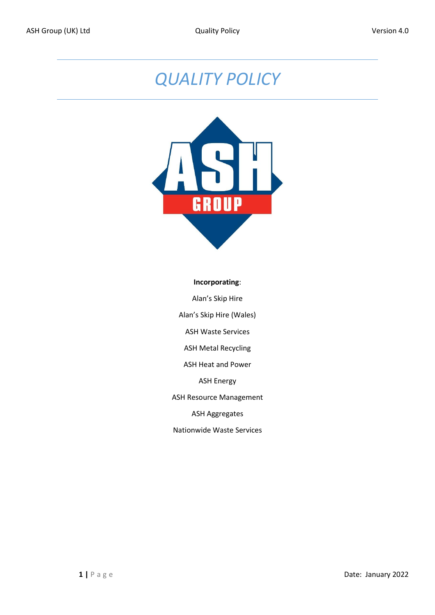## *QUALITY POLICY*



## **Incorporating**:

Alan's Skip Hire Alan's Skip Hire (Wales) ASH Waste Services ASH Metal Recycling ASH Heat and Power ASH Energy

ASH Resource Management

ASH Aggregates

Nationwide Waste Services